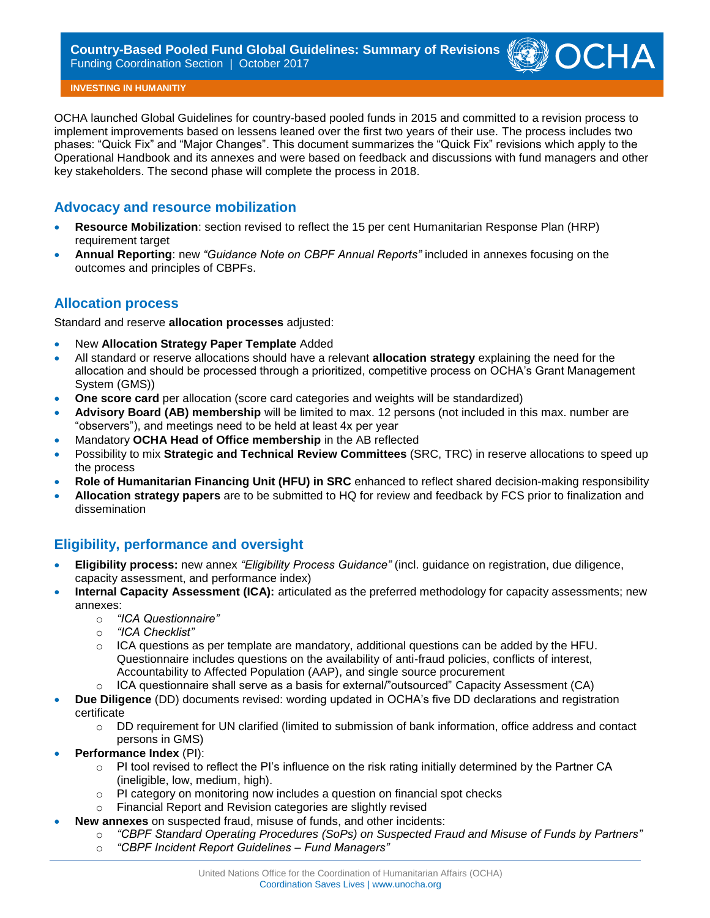

**INVESTING IN HUMANITIY**

OCHA launched Global Guidelines for country-based pooled funds in 2015 and committed to a revision process to implement improvements based on lessens leaned over the first two years of their use. The process includes two phases: "Quick Fix" and "Major Changes". This document summarizes the "Quick Fix" revisions which apply to the Operational Handbook and its annexes and were based on feedback and discussions with fund managers and other key stakeholders. The second phase will complete the process in 2018.

#### **Advocacy and resource mobilization**

- **Resource Mobilization**: section revised to reflect the 15 per cent Humanitarian Response Plan (HRP) requirement target
- **Annual Reporting**: new *"Guidance Note on CBPF Annual Reports"* included in annexes focusing on the outcomes and principles of CBPFs.

# **Allocation process**

Standard and reserve **allocation processes** adjusted:

- New **Allocation Strategy Paper Template** Added
- All standard or reserve allocations should have a relevant **allocation strategy** explaining the need for the allocation and should be processed through a prioritized, competitive process on OCHA's Grant Management System (GMS))
- **One score card** per allocation (score card categories and weights will be standardized)
- **Advisory Board (AB) membership** will be limited to max. 12 persons (not included in this max. number are "observers"), and meetings need to be held at least 4x per year
- Mandatory **OCHA Head of Office membership** in the AB reflected
- Possibility to mix **Strategic and Technical Review Committees** (SRC, TRC) in reserve allocations to speed up the process
- **Role of Humanitarian Financing Unit (HFU) in SRC** enhanced to reflect shared decision-making responsibility
- **Allocation strategy papers** are to be submitted to HQ for review and feedback by FCS prior to finalization and dissemination

# **Eligibility, performance and oversight**

- **Eligibility process:** new annex *"Eligibility Process Guidance"* (incl. guidance on registration, due diligence, capacity assessment, and performance index)
- **Internal Capacity Assessment (ICA):** articulated as the preferred methodology for capacity assessments; new annexes:
	- o *"ICA Questionnaire"*
	- o *"ICA Checklist"*
	- $\circ$  ICA questions as per template are mandatory, additional questions can be added by the HFU. Questionnaire includes questions on the availability of anti-fraud policies, conflicts of interest, Accountability to Affected Population (AAP), and single source procurement
	- $\circ$  ICA questionnaire shall serve as a basis for external/"outsourced" Capacity Assessment (CA)
- **Due Diligence** (DD) documents revised: wording updated in OCHA's five DD declarations and registration certificate
	- o DD requirement for UN clarified (limited to submission of bank information, office address and contact persons in GMS)
- **Performance Index** (PI):
	- $\circ$  PI tool revised to reflect the PI's influence on the risk rating initially determined by the Partner CA (ineligible, low, medium, high).
	- $\circ$  PI category on monitoring now includes a question on financial spot checks
	- o Financial Report and Revision categories are slightly revised
	- **New annexes** on suspected fraud, misuse of funds, and other incidents:
		- o *"CBPF Standard Operating Procedures (SoPs) on Suspected Fraud and Misuse of Funds by Partners"*
		- o *"CBPF Incident Report Guidelines – Fund Managers"*